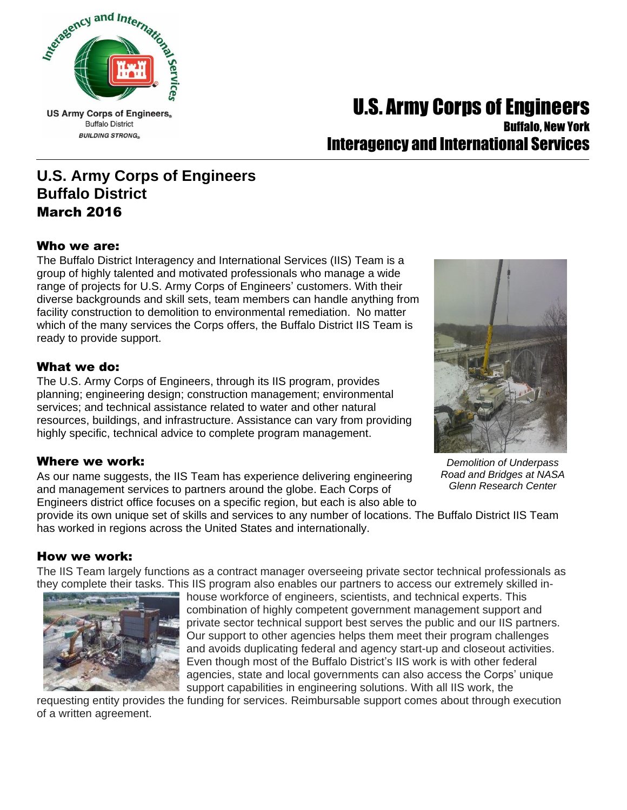

**Buffalo District BUILDING STRONG** 

## U.S. Army Corps of Engineers. Buffalo, New York

# Interagency and International Services

## **U.S. Army Corps of Engineers Buffalo District** March 2016

#### Who we are:

The Buffalo District Interagency and International Services (IIS) Team is a group of highly talented and motivated professionals who manage a wide range of projects for U.S. Army Corps of Engineers' customers. With their diverse backgrounds and skill sets, team members can handle anything from facility construction to demolition to environmental remediation. No matter which of the many services the Corps offers, the Buffalo District IIS Team is ready to provide support.

#### What we do:

The U.S. Army Corps of Engineers, through its IIS program, provides planning; engineering design; construction management; environmental services; and technical assistance related to water and other natural resources, buildings, and infrastructure. Assistance can vary from providing highly specific, technical advice to complete program management.

#### Where we work:

As our name suggests, the IIS Team has experience delivering engineering and management services to partners around the globe. Each Corps of Engineers district office focuses on a specific region, but each is also able to



*Demolition of Underpass Road and Bridges at NASA Glenn Research Center*

provide its own unique set of skills and services to any number of locations. The Buffalo District IIS Team has worked in regions across the United States and internationally.

#### How we work:

The IIS Team largely functions as a contract manager overseeing private sector technical professionals as they complete their tasks. This IIS program also enables our partners to access our extremely skilled in-



house workforce of engineers, scientists, and technical experts. This combination of highly competent government management support and private sector technical support best serves the public and our IIS partners. Our support to other agencies helps them meet their program challenges and avoids duplicating federal and agency start-up and closeout activities. Even though most of the Buffalo District's IIS work is with other federal agencies, state and local governments can also access the Corps' unique support capabilities in engineering solutions. With all IIS work, the

requesting entity provides the funding for services. Reimbursable support comes about through execution of a written agreement.